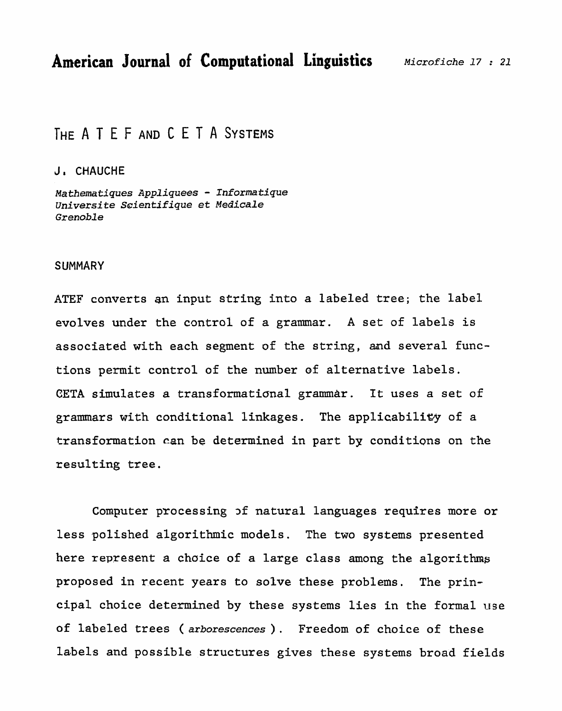# THE A T E F AND C E T A SYSTEMS

#### **Ja CHAUCHE**

*Nathematiques* **Appliquees** - **Informatique Universite** *Scientifique* **et** *Medicale*  Grenoble

#### **SUMMARY**

**ATEF converts an input string into a** labeled **tree;** the **label**  evolves under **the** control **of a grammar. A** set of **labels is associated with each segment of the string, and several functions permit control of the number of alternative labels. CETA** simulates a **transformatianal** grammar. **It** uses a **set** of **grammars with conditional linkages. The applicabili&y of a transformation can be determined in** part **by conditions on the resulting** tree.

**Computer processing 3f natural languages requires more or less polished algorithmic** models. **The two systems presented**  here **represent a** choice **of a large class among the algorithms proposed in recent years to solve these problems. The prin**cipal **choice determined by these systems** lies **in the** formal **use of labeled trees** ( **arborescences** ) . **Freedom of choice of these**  la-bels **and possible structures** gives **these systems broad fields**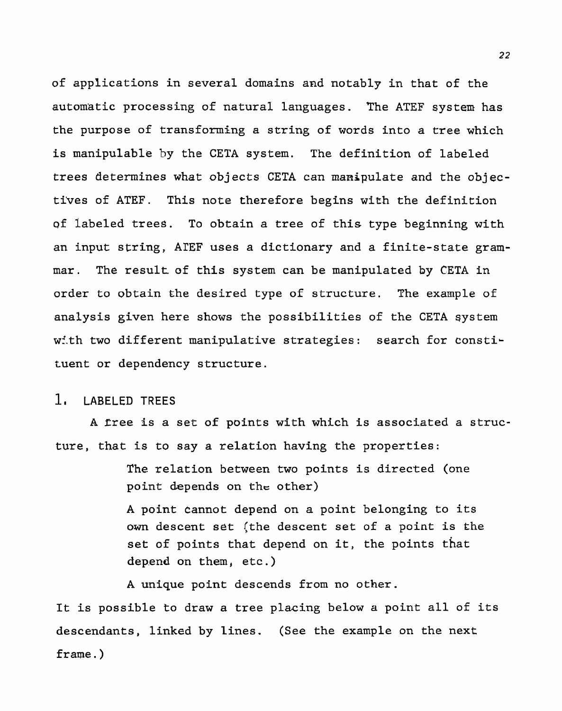of applications in several domains and notably in that of the automatic processing of natural languages. The ATEF system has the purpose of transforming a string of words into a tree which is manipulable by the CETA system. The definition of labeled trees determines what objects CETA can manipulate and the objectives of ATEF. This note therefore begins with the definition of labeled trees. To obtain a tree of this type beginning with an input string, **ArEF** uses a dictionary and a finite-state grammar. The result of this system can be manipulated by CETA in order to obtain the desired type of structure. The example **of**  analysis given here shows the possibilities of the CETA system with two different manipulative strategies: search for constituent or dependency structure .

# 1, LABELED TREES

A **rree** is a set of points with which is associated a structure, that is to say a relation having the properties:

> The relation between two points is directed (one point depends on the other)

A point Cannot depend on a point belonging to its own descent set (the descent set of a point is the set of points that depend on it, the points that depend on them, etc. )

A unique point descends from no other.

It is possible to draw a tree placing below a point all of its descendants, linked by lines. **(See** the example on the next frame. )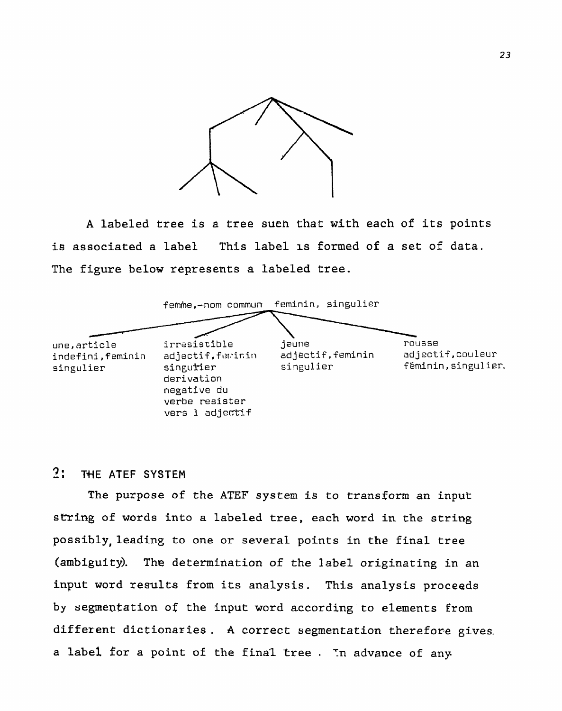

**<sup>A</sup>**labeled **tree is a tree such that with each of its points is associated a lab-el This** label **IS** formed **of a set of data. The figure below represents a labeled tree.** 



# 2: THE ATEF SYSTEM

**The purpose of the ATEF system is to transform an input sming of words** into **a** labeled tree, **each word in the string possibly,leading to one or several points in the final tree (ambiguity). The determination of the label originating in an input word results from its analysis. This analysis proceeds by segme~tation of the** input **word** according to **elements** from different dictionaries. A correct segmentation therefore gives. **a** label **for a** point **of** the final **tree** . Tn **advance of any.**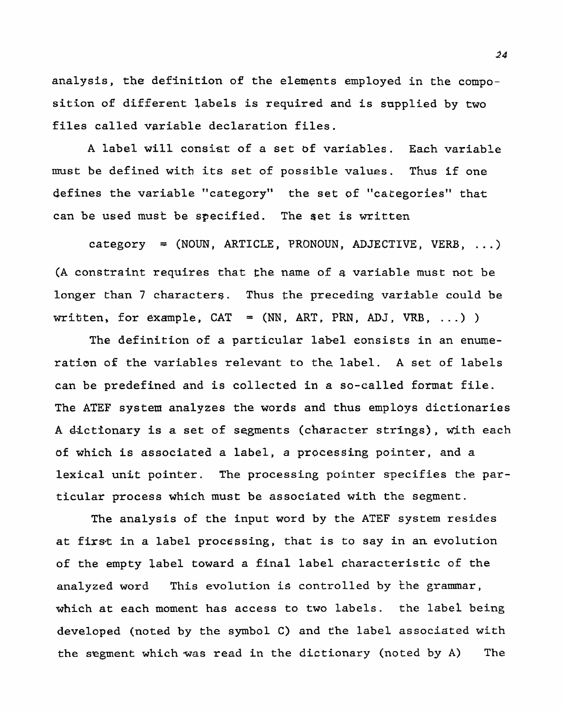**analysis, the definition of the elements employed in the composition of different labels is** required **and is supplied by two Eiles called variable declaration files.** 

**A label will consist of a set bf variables.** Each **variable must be defined with its set of possible values. Thus if one defines the variable "category" the set of "categories" that can be used must be specified.** The **set is** written

**category** = **(NOUN, ARTICLE, PRONOUN, ADJECTIVE, VERB,** ...) **(A constraint requires that the** name **of a variable must not be**  longer than 7 characters. Thus the preceding variable could be  $\text{written, for example, CAT = (NN, ART, PRN, ADJ, VRB, ...)}$ 

The definition of a particular label consists in an enume**ration of the variables relevant to** the **label. A** set **of labels**  can **be predefined and is collected in a so-called format file. The ATEF system analyzes the words and thus employs dictionaries**  A dictionary is a set of segments (character strings), with each **of which is associated a label, a processing pointer, and a lexical unit pointer. The processing pointer specifies the particular process which must be associated with the segment.** 

The analysis of the **input word by the ATEF system resides at** first **in a label processing, that is to say in an evolution of the empty label toward a final label characteristic of the analyzed word This evolution is controlled by the grammar, which at each moment has access to two labels. the label being developed (noted by the symbol C) and** the **label associated** with **the segment which was read in the dictionary (noted by A)** The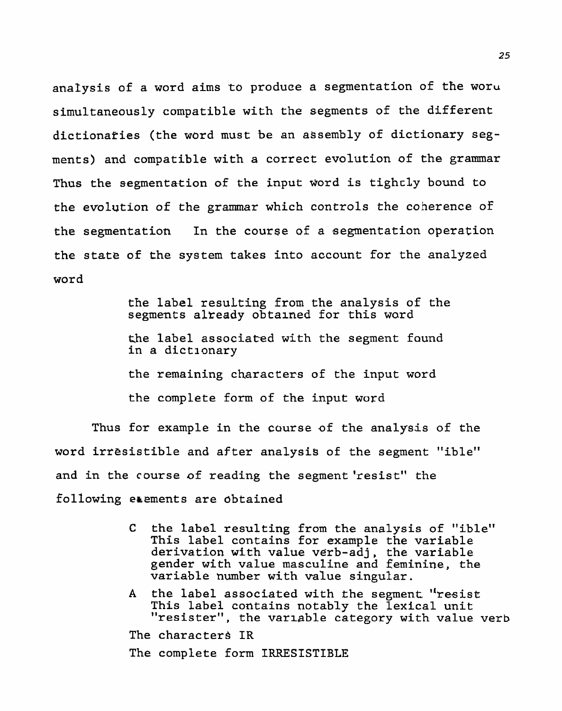**analysis of a word aims to produce a segmentation of** the **woru simultaneously compatible with the segments of** the different **dictionaries (the word must be an assembly of dictionary segments) and compatible with a correct evolution of the grammar Thus the segmentation of the input** ~ord **is tighcly bound to the evolution of the grammar which controls the coherence of the segmentation In the course of a segmentation operation the state of the system takes into account for the** analyzed word

> the label **resuLting from the analysis of** the segments already obtained for this word **the label associated** with **the segment** found **in a dictlonary the remaining characters of the input word the complete form of the input word**

**Thus for example in the course of the analysis of the word irresistible and after analysis of the segment** "ible" and in the course of reading the segment 'resist" the **following erements are obtained** 

- **C the label resulting from the analysis of "ible" This label contains for example the** variable **derivation with value verb-adj, the variable gender with value masculine and feminine, the variable number with value singular.**
- **A the label associated** with **the segment''resist**  This **label coatains notably the lexical unit "resister", the varlable category with value verb**

**The character\$ IR** 

**The complete form IRRESISTIBLE**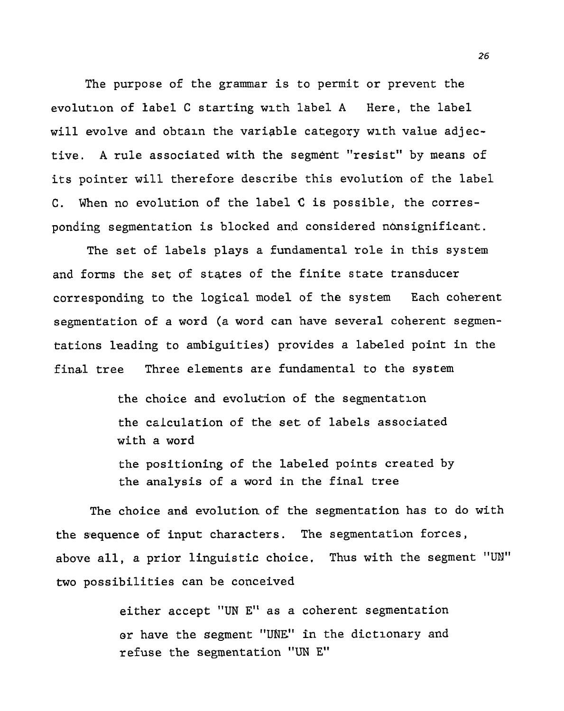The purpose of the grammar is to permit or prevent the evolution of label C starting wlth label A Here, the **label will evolve** and obtaln the variable category **wlth** value adjective. **A** rule associated with the segment "resist" **by means of**  its pointer will therefore describe this evolution of the label C. When no evolution of the label **C** is **possible,** the corresponding segmentation is blocked and considered nonsignificant.

The set of labels plays a **fundamental role** in this system and forms the set of states of the finite state transducer **corresponding to** the logical **model** of **the system** Each coherent segmentation of a word (a word can **have** several coherent segmentations leading to ambiguities) provides a labeled point in the final tree Three elements are fundamental to the system

> the choice and evolution of the segmentation the calculation of the set of labels associated with a word

the positioning of the labeled points created by the analysis of a word in the final tree

The choice and **evolution** of the segmentation has **to** do with **the sequence of input characters. The segmentation forces,**  above all, a prior linguistic choice. Thus with the segment "UN" two possibilities can be conceived

> **either accept "UN E"** as a coherent segmentation or have the segment "UNE" in the dictionary and **refuse the segmentation** "UN El'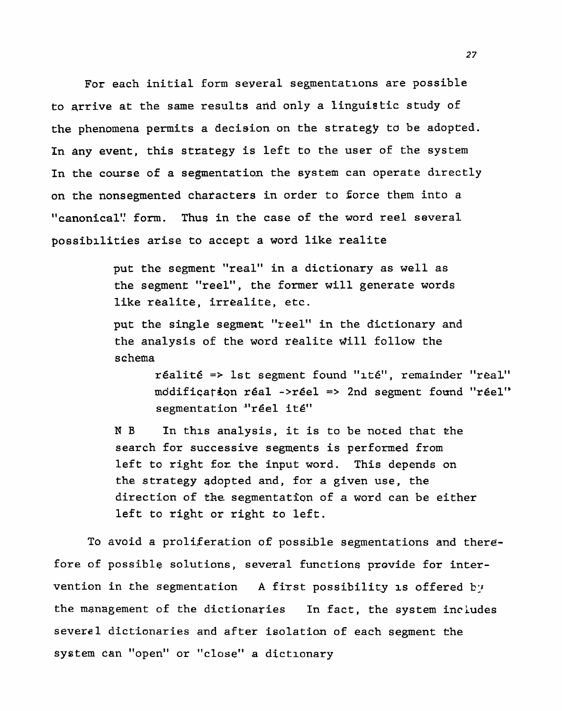For each initial form several segmentations are possible to arrive at the same results and only a linguistic study of the phenomena permits a decision on the strategy to be **adopted.**  In any event, this strategy is left to the user of the system In the course of a segmentation the system can operate directly on the nonsegmented chatacters in order to force them into a "canonical'! form. **Thus** in **the case** of **the** word reel several possibilities arise to accept a word like realite

> put the segment "real" in a dictionary as well as **the** segmenf "reel", **the** former will generate words like realite, irrealite, **etc.**

put the single segment "reel" in the dictionary and the analysis of the word realite will follow the schema

> realit& => 1st segment **found** "lte", **remainder** "real" modification réal ->réel => 2nd segment found "réel" segmentation "réel ité"

**N** B In **thls** analysis, it is to be noted that the search for successive segments is performed from left to right **£ox** the input word. This depends on the **strategy** adopted **and, for a** given use, **the**  direction of the segmentation of a word can be either left to right or right to left.

To avoid a proliferation of possible segmentations and therefore of possible solutions, several functions provide for intervention in the segmentation A first possibility is offered by **the management of** the dictionaries In fact, the system **includes**  several dictionaries and after isolation of each segment the system can "open" or "close" a dictionary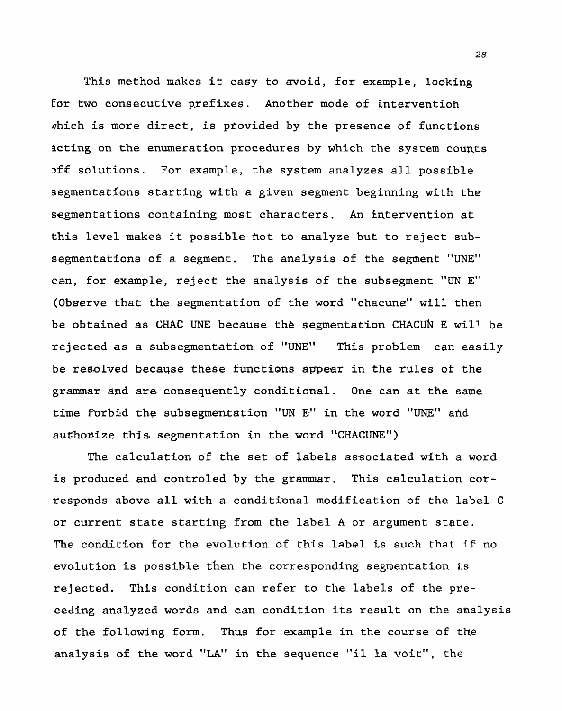This method makes it easy to avoid, for example, looking **€or** two consecutive prefixes. Another mode of **intervention**  which is more direct, is provided by the presence of functions acting **on the enumeration procedures** by **which the** system counts **~ff** solutions. For example, the system analyzes all possible segmentations starting with a given segment beginning with the segmentations containing most **characters.** An intervention **at**  this level **makes** it **possible** hot to **analyze but** to reject **sub**segmentations of a segment. The analysis of the segment "UNE" can, for example, reject the analysis of the subsegment "UN **E"**  (Observe that the segmentation of the word "chacune" will then be obtained as CHAC UNE because the segmentation CHACUN E will be rejected as a subsegmentation of "UNE" This problem can easily be resolved because these **functions** appear in the rules of **the**  grammar and are consequently conditional. One can at the **same**  time forbid the subsegmentation "UN E" in the word "UNE" and authorize this segmentation in the word "CHACUNE")

The calculation of the set of labels associated with a word **is produced and** controled **by** the grammar. This calculation corresponds above all with a **conditianal** modification **of the** label C or current state starting from the label A or argument state. **The** condition for the evolution of this label **is such that if no**  evolution is possible then the corresponding segmentation is rejected. This condition can refer to the labels of the preceding **analyzed** words and **can** condition its result on the analysis of the following form. Thus for example **in the course** of the analysis of the word "LA" in the sequence **"il la** voit", the

28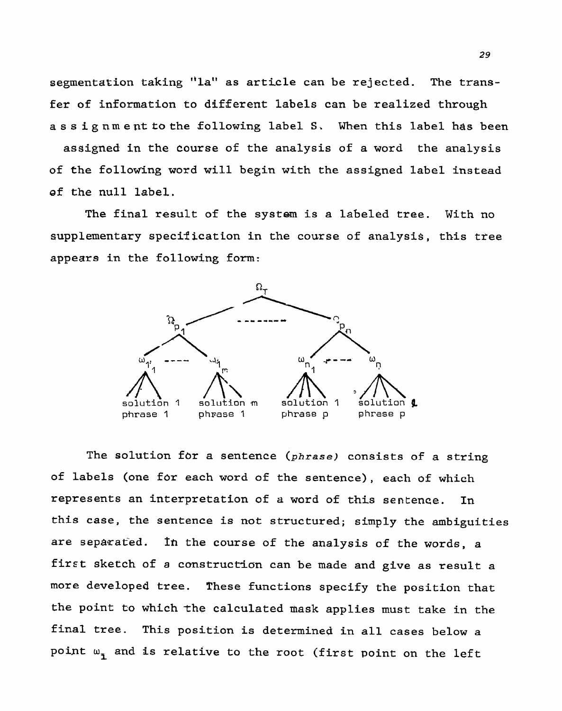**segmentation taking "la" as article can be rejected. The** trans**fer of information to** different **labels** can be **realized through assignmenttothe following label S. When this label has been** 

**assigned in the course of** the **analysis** of a **word** the **analysis of the** follow'ing **word will begin with the assigned label instead ef the null label.** 

The **final result of the system is a labeled tree. With no supplementary specification in the course of analysis, this tree appears in the following form:** 



The solution for a sentence (phrase) consists of a string **of labels (one** for **each word of** the **sentence), each of which represents an interpretation of a ward of** this **sentence. In this case, the sentence is** *not* **structured; simply the ambiguities are sepa~ated. Th** the **course of** the **analysis of the words, a**  first sketch of a construction can be made and give as result a more **developed tree. These functions specify the position that the point to which** the **calculated mask applies must take in the final tree. This position is determined in all cases below a**  point **w, and is relative to** the **root (first** point **on the** left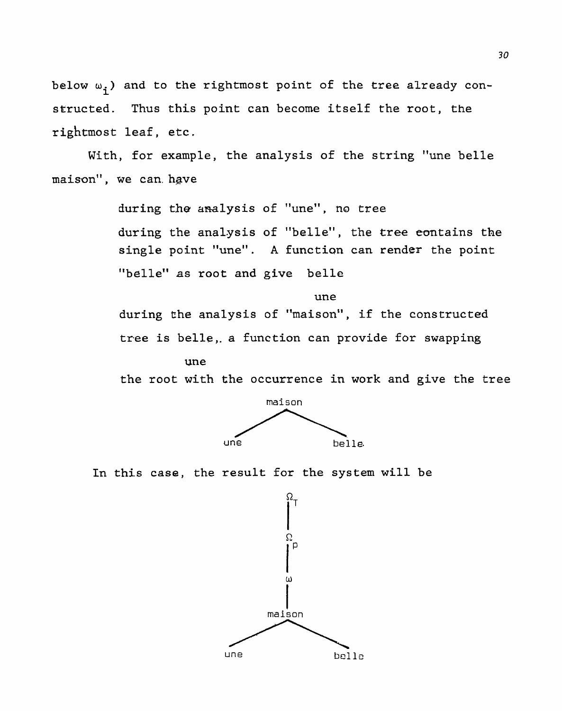below  $\omega_i$ ) and to the rightmost point of the tree already con**structed. Thus this point can become itself the root, the rightmost leaf, etc.** 

**With, for example,** the **analysis of the string "une belle maison", we can. have** 

> **11 during the** analysis **of une", no** tree **during the analysis of "belle", the tree eontains the single point "une". A function can render the point**  "belle" as **root** and **give** belle

**une during the analysis of "maison", if the constructed tree is belle,. a function can provide for swapping** 

**we** 

the **root with** the occurrence in work and give **the tree** 



**In this case, the result** for **the system** will be

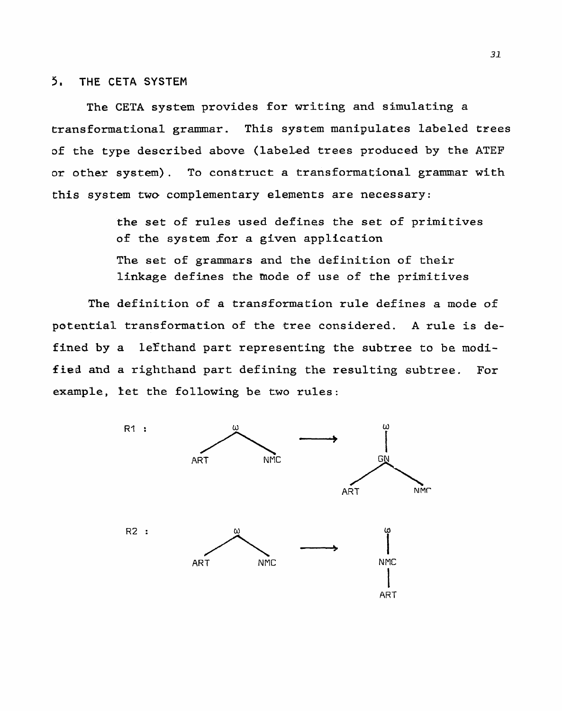## **5, THE CETA SYSTEM**

The CETA system provides for writing and simulating a **transformational grammar. This system manipulates labeled trees of the type described above (labeled trees produced by the** ATEF **or other system). To construct a transformational grammar with this system two complementary elements are necessary:** 

> **the set of rules used defines the set of prfmitives of the system for a given application The set of grammars** and **the** definition **of** their **linkage defines the mode of use of the primitives**

**The definition of a transformation rule defines a mode of potential transformation of the tree** considered. **A rule is de**fined by a lefthand part representing the subtree to be modi**fied and a** righthand **part** defining the **resulting subtree. For example,** let the **following be two rules:** 

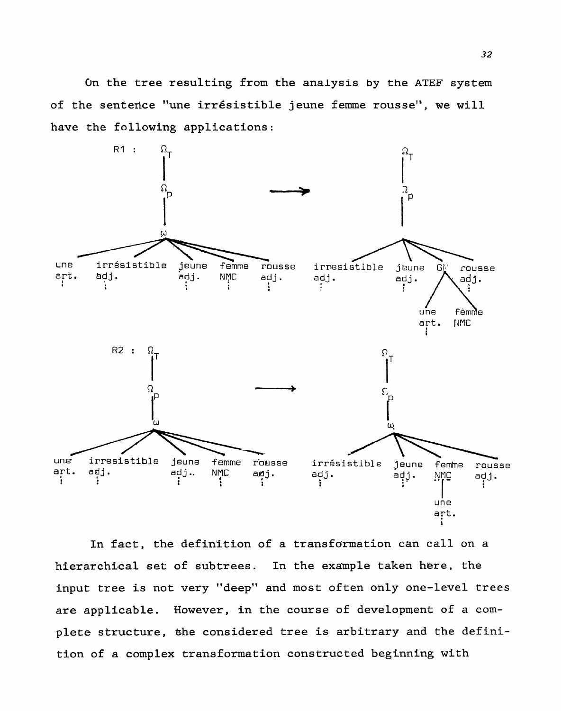**On the tree** resulting from the **analysis by** the **ATEF system of** the **senterice** "une irresistible **jeune femme rousse", we** will **have** the following **applications:** 



In fact, the definition of a transformation can call on a hierarchical **set of subtrees. In** the **example taken here, the**  input **tree is not very "deep" and most often only one-level trees are applicable. However, in** the **course** of **development of a** cornplete structure, the considered tree is arbitrary and the defini**tion of a complex transformation constructed beginning** with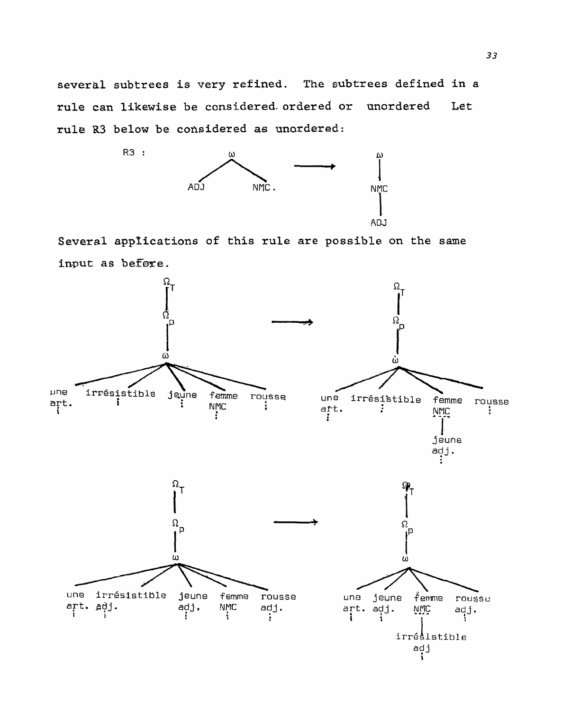**several subtrees is very refined. The subtrees defined in a rule can likewise be considered.** ordered **or unordered Let rule R3 below be considered as unardered:** 



**Several apprications of this rule are possible on the same**  input as before.

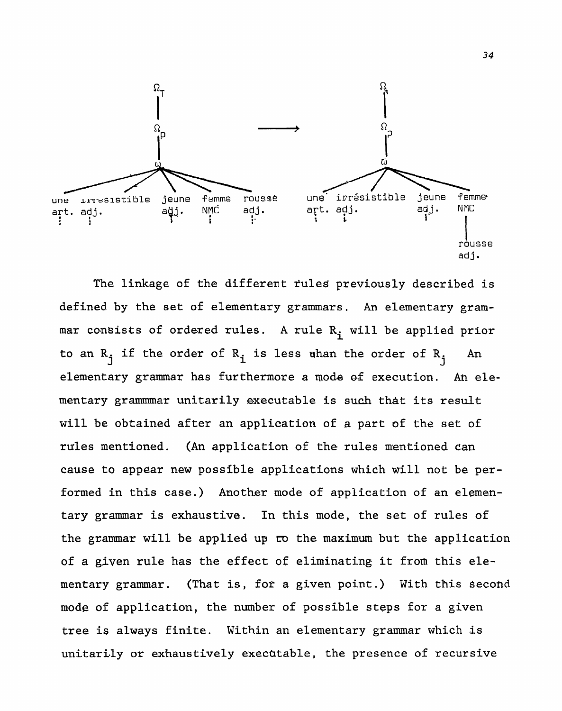

The linkage of the different rules previously described is defined by the set of elementary grammars. An elementary grammar consists of ordered rules. A rule  $R_i$  will be applied prior to an  $R_i$  if the order of  $R_i$  is less whan the order of  $R_i$  An elementary grammar has furthermore a mode of execution. An elementary grammmar unitarily executable is such that its result will be obtained after an application of **a** part of the set of **rules** mentioned. (An application of the rules mentioned can cause to appear new possible applications which will not be performed in this case.) Another mode of application of an elementary grammar is exhaustive. In this mode, the set of rules of the gzammar will be applied up ro the maximum but the application of a given rule has the effect of eliminating it from this elementary grammar. (That is, for a given point.) With this second **mode** of application, the number of possible steps for a given tree is always finite. Within an elementary grammar which is unitarily or exhaustively exechtable, the presence of recursive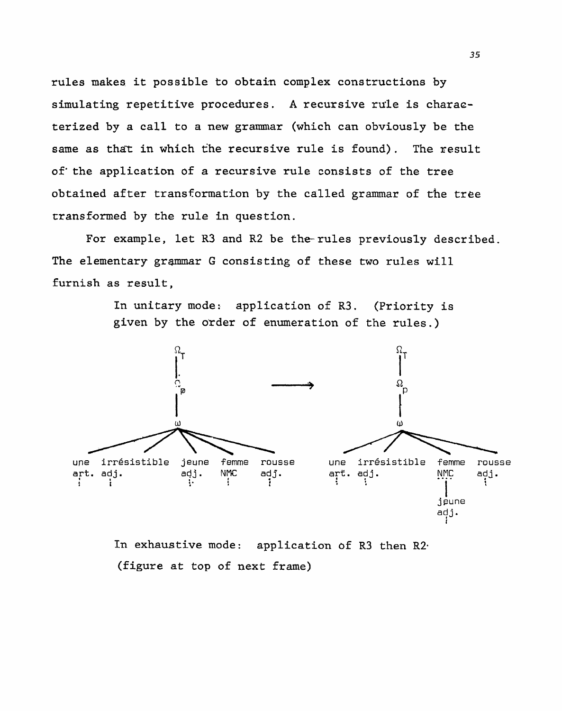**rules makes. it possible** to obtain complex constructions by **simulating** repetitive **procedures. A recursive rule is** charao**terized by a call to a new grammar** (which can **obviously** be **the**  same as that in which the recursive rule is found). The result of'the **application of a recursive rule consists of** the **tree**  obtained **after transformation** by **the called grammar** of rhe tree **transformed by the rule in question.** 

**For example, let R3 and R2 be** the-rules **previously described.**  The elementary grammar G consisting of these two rules will **furnish as result,** 

> **In unitary mode: application of R3. (Priority is given by the order of** enumeration of the rules.)



**In exhaustive mode: application of R3 then R2. (figure** at top of **next frame)**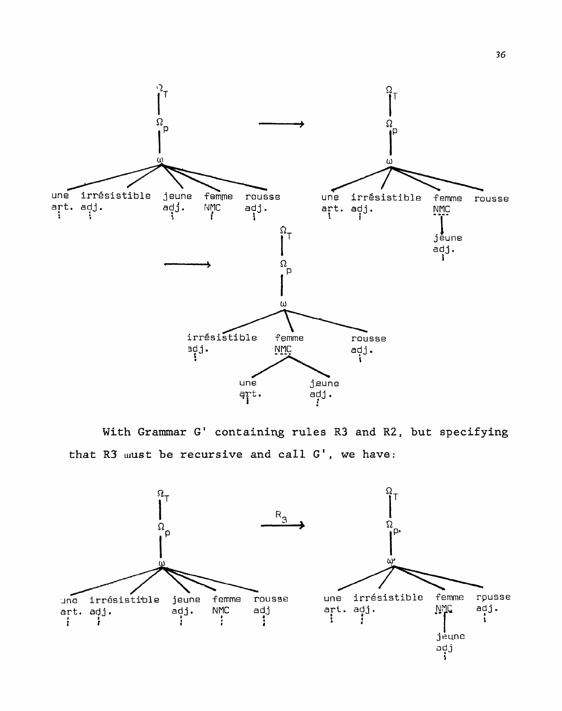

With **Grammar G' containing rules R3 and** R2, **but specifying**  that R3 must be recursive and call G', we have:

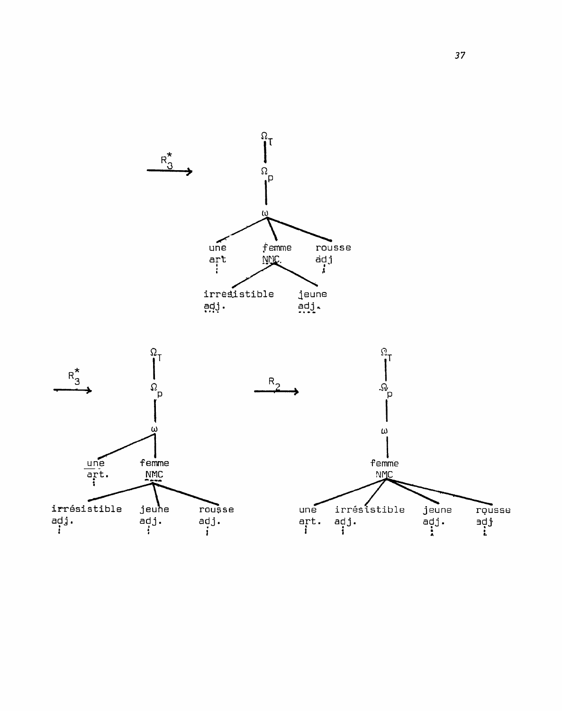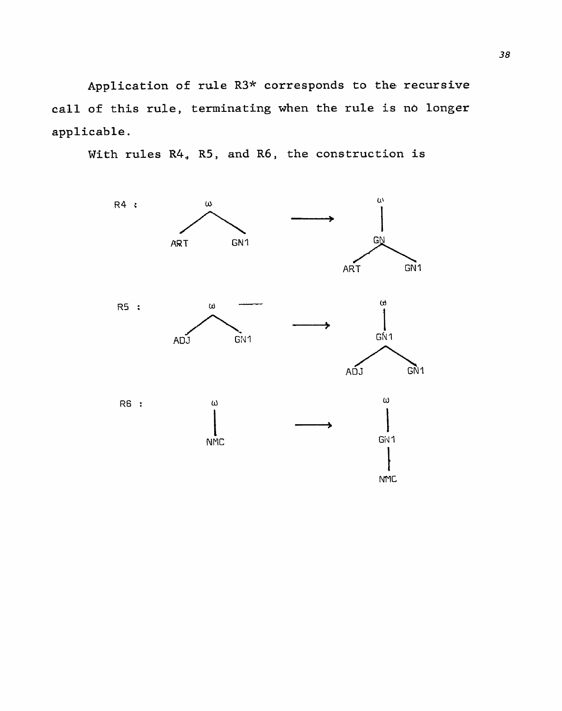Application of rule R3\* corresponds to the recursive call of this rule, terminating when the rule is no longer **applicable.** 



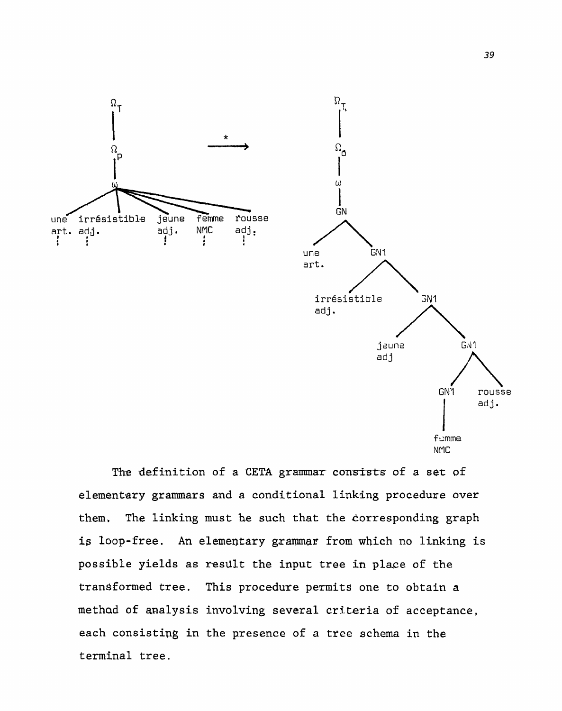

The definition of a CETA grammar consists of a set of **elementary grammars and a conditional linking procedure over**  them. The linking must be such that the corresponding graph **is loop-free. An elementary gxamar from which no linking is possible yields as result** the **input tree** in **place of the**  transformed **tree.** This **procedure permits one to obtain a methad of analysis involving several** criteria **of acceptance,**  each **consisting** in the **presence** of **a** tree schema in the **terminal tree.**